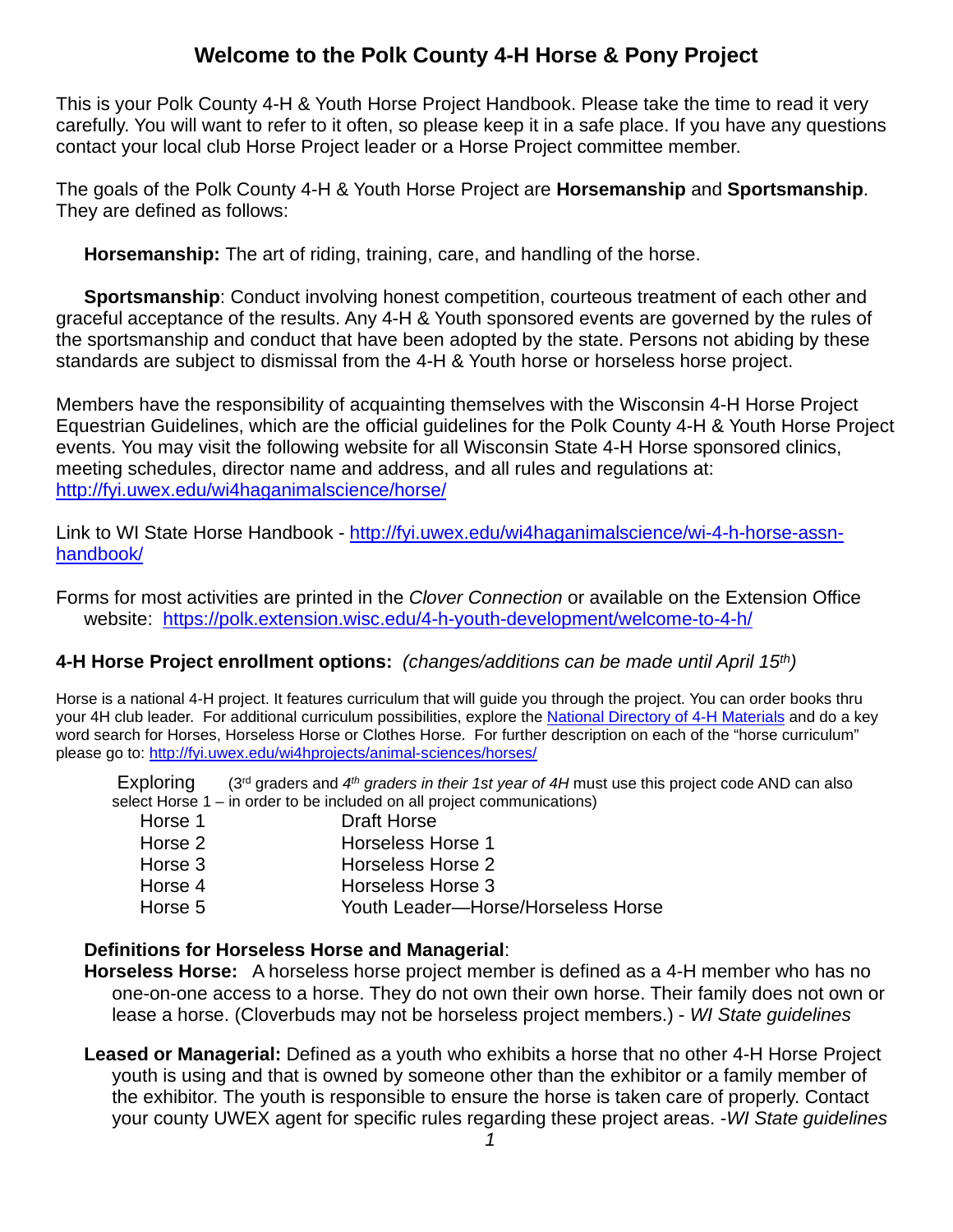# **Welcome to the Polk County 4-H Horse & Pony Project**

This is your Polk County 4-H & Youth Horse Project Handbook. Please take the time to read it very carefully. You will want to refer to it often, so please keep it in a safe place. If you have any questions contact your local club Horse Project leader or a Horse Project committee member.

The goals of the Polk County 4-H & Youth Horse Project are **Horsemanship** and **Sportsmanship**. They are defined as follows:

**Horsemanship:** The art of riding, training, care, and handling of the horse.

**Sportsmanship:** Conduct involving honest competition, courteous treatment of each other and graceful acceptance of the results. Any 4-H & Youth sponsored events are governed by the rules of the sportsmanship and conduct that have been adopted by the state. Persons not abiding by these standards are subject to dismissal from the 4-H & Youth horse or horseless horse project.

Members have the responsibility of acquainting themselves with the Wisconsin 4-H Horse Project Equestrian Guidelines, which are the official guidelines for the Polk County 4-H & Youth Horse Project events. You may visit the following website for all Wisconsin State 4-H Horse sponsored clinics, meeting schedules, director name and address, and all rules and regulations at: http://fyi.uwex.edu/wi4haganimalscience/horse/

Link to WI State Horse Handbook - [http://fyi.uwex.edu/wi4haganimalscience/wi-4-h-horse-assn](http://fyi.uwex.edu/wi4haganimalscience/wi-4-h-horse-assn-handbook/)[handbook/](http://fyi.uwex.edu/wi4haganimalscience/wi-4-h-horse-assn-handbook/)

Forms for most activities are printed in the *Clover Connection* or available on the Extension Office website: <https://polk.extension.wisc.edu/4-h-youth-development/welcome-to-4-h/>

#### **4-H Horse Project enrollment options:** *(changes/additions can be made until April 15th)*

Horse is a national 4-H project. It features curriculum that will guide you through the project. You can order books thru your 4H club leader. For additional curriculum possibilities, explore the [National Directory of 4-H Materials](http://www.4-hdirectory.org/) and do a key word search for Horses, Horseless Horse or Clothes Horse. For further description on each of the "horse curriculum" please go to:<http://fyi.uwex.edu/wi4hprojects/animal-sciences/horses/>

Exploring (3rd graders and *4th graders in their 1st year of 4H* must use this project code AND can also select Horse 1 – in order to be included on all project communications)

| Horse 1 | Draft Horse                        |
|---------|------------------------------------|
| Horse 2 | Horseless Horse 1                  |
| Horse 3 | Horseless Horse 2                  |
| Horse 4 | Horseless Horse 3                  |
| Horse 5 | Youth Leader-Horse/Horseless Horse |

#### **Definitions for Horseless Horse and Managerial**:

- **Horseless Horse:** A horseless horse project member is defined as a 4-H member who has no one-on-one access to a horse. They do not own their own horse. Their family does not own or lease a horse. (Cloverbuds may not be horseless project members.) - *WI State guidelines*
- **Leased or Managerial:** Defined as a youth who exhibits a horse that no other 4-H Horse Project youth is using and that is owned by someone other than the exhibitor or a family member of the exhibitor. The youth is responsible to ensure the horse is taken care of properly. Contact your county UWEX agent for specific rules regarding these project areas. -*WI State guidelines*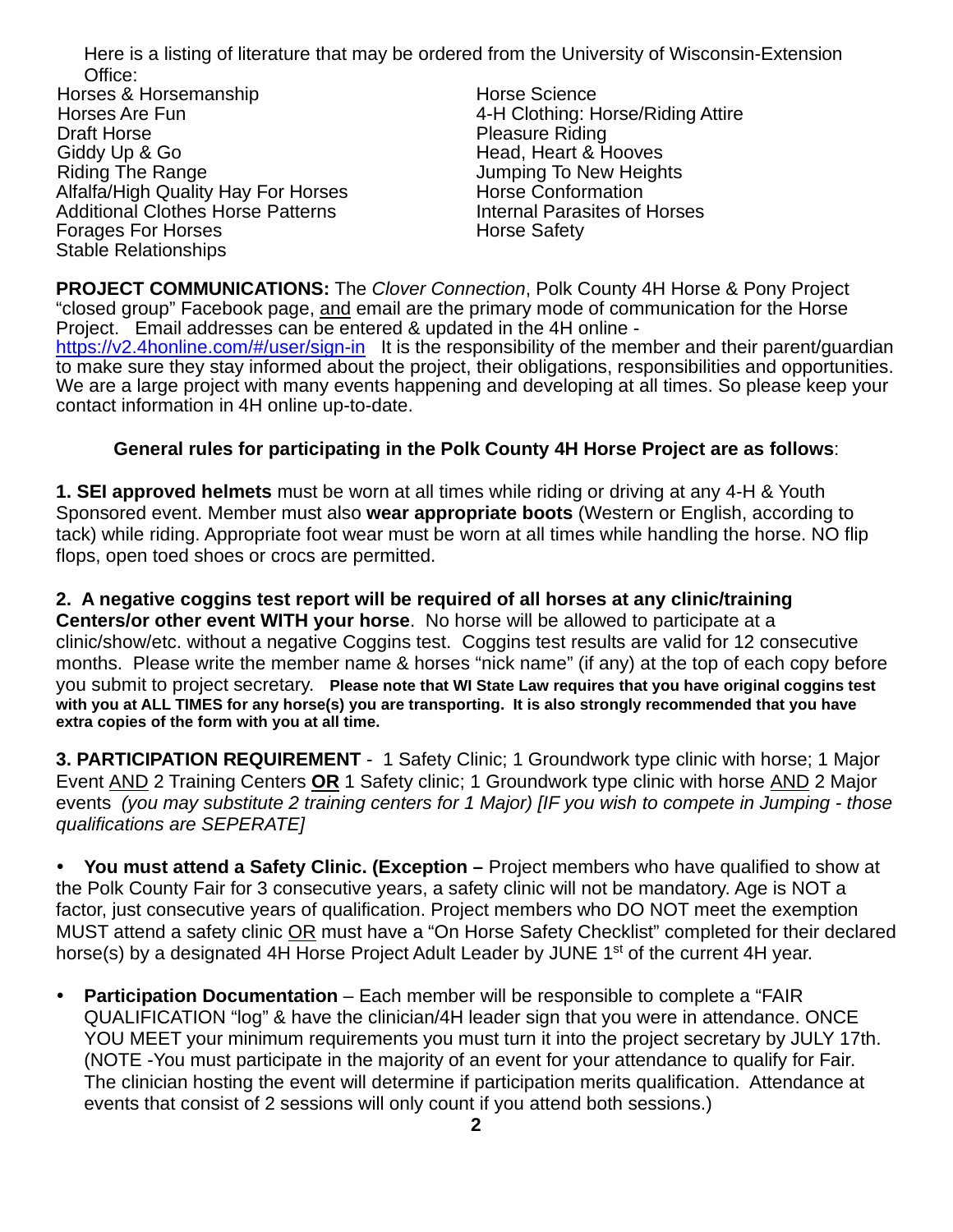Here is a listing of literature that may be ordered from the University of Wisconsin-Extension Office:

Horses & Horsemanship Horse Science Horses Are Fun 4-H Clothing: Horse/Riding Attire Draft Horse Pleasure Riding Giddy Up & Go **Good Contract Contract Contract Contract Contract Contract Contract Contract Contract Contract C**<br>Riding The Range **Contract Contract Contract Contract Contract Contract Contract Contract Contract Contract C** Alfalfa/High Quality Hay For Horses Additional Clothes Horse Patterns Internal Parasites of Horses<br>
Forages For Horses<br>
Horse Safety Forages For Horses Stable Relationships

Jumping To New Heights<br>Horse Conformation

**PROJECT COMMUNICATIONS:** The *Clover Connection*, Polk County 4H Horse & Pony Project "closed group" Facebook page, and email are the primary mode of communication for the Horse Project. Email addresses can be entered & updated in the 4H online <https://v2.4honline.com/#/user/sign-in>It is the responsibility of the member and their parent/guardian to make sure they stay informed about the project, their obligations, responsibilities and opportunities. We are a large project with many events happening and developing at all times. So please keep your contact information in 4H online up-to-date.

#### **General rules for participating in the Polk County 4H Horse Project are as follows**:

**1. SEI approved helmets** must be worn at all times while riding or driving at any 4-H & Youth Sponsored event. Member must also **wear appropriate boots** (Western or English, according to tack) while riding. Appropriate foot wear must be worn at all times while handling the horse. NO flip flops, open toed shoes or crocs are permitted.

**2. A negative coggins test report will be required of all horses at any clinic/training Centers/or other event WITH your horse**. No horse will be allowed to participate at a clinic/show/etc. without a negative Coggins test. Coggins test results are valid for 12 consecutive months. Please write the member name & horses "nick name" (if any) at the top of each copy before you submit to project secretary. **Please note that WI State Law requires that you have original coggins test with you at ALL TIMES for any horse(s) you are transporting. It is also strongly recommended that you have extra copies of the form with you at all time.**

**3. PARTICIPATION REQUIREMENT** - 1 Safety Clinic; 1 Groundwork type clinic with horse; 1 Major Event AND 2 Training Centers **OR** 1 Safety clinic; 1 Groundwork type clinic with horse AND 2 Major events *(you may substitute 2 training centers for 1 Major) [IF you wish to compete in Jumping - those qualifications are SEPERATE]* 

 **You must attend a Safety Clinic. (Exception –** Project members who have qualified to show at the Polk County Fair for 3 consecutive years, a safety clinic will not be mandatory. Age is NOT a factor, just consecutive years of qualification. Project members who DO NOT meet the exemption MUST attend a safety clinic OR must have a "On Horse Safety Checklist" completed for their declared horse(s) by a designated 4H Horse Project Adult Leader by JUNE 1<sup>st</sup> of the current 4H year.

 **Participation Documentation** – Each member will be responsible to complete a "FAIR QUALIFICATION "log" & have the clinician/4H leader sign that you were in attendance. ONCE YOU MEET your minimum requirements you must turn it into the project secretary by JULY 17th. (NOTE -You must participate in the majority of an event for your attendance to qualify for Fair. The clinician hosting the event will determine if participation merits qualification. Attendance at events that consist of 2 sessions will only count if you attend both sessions.)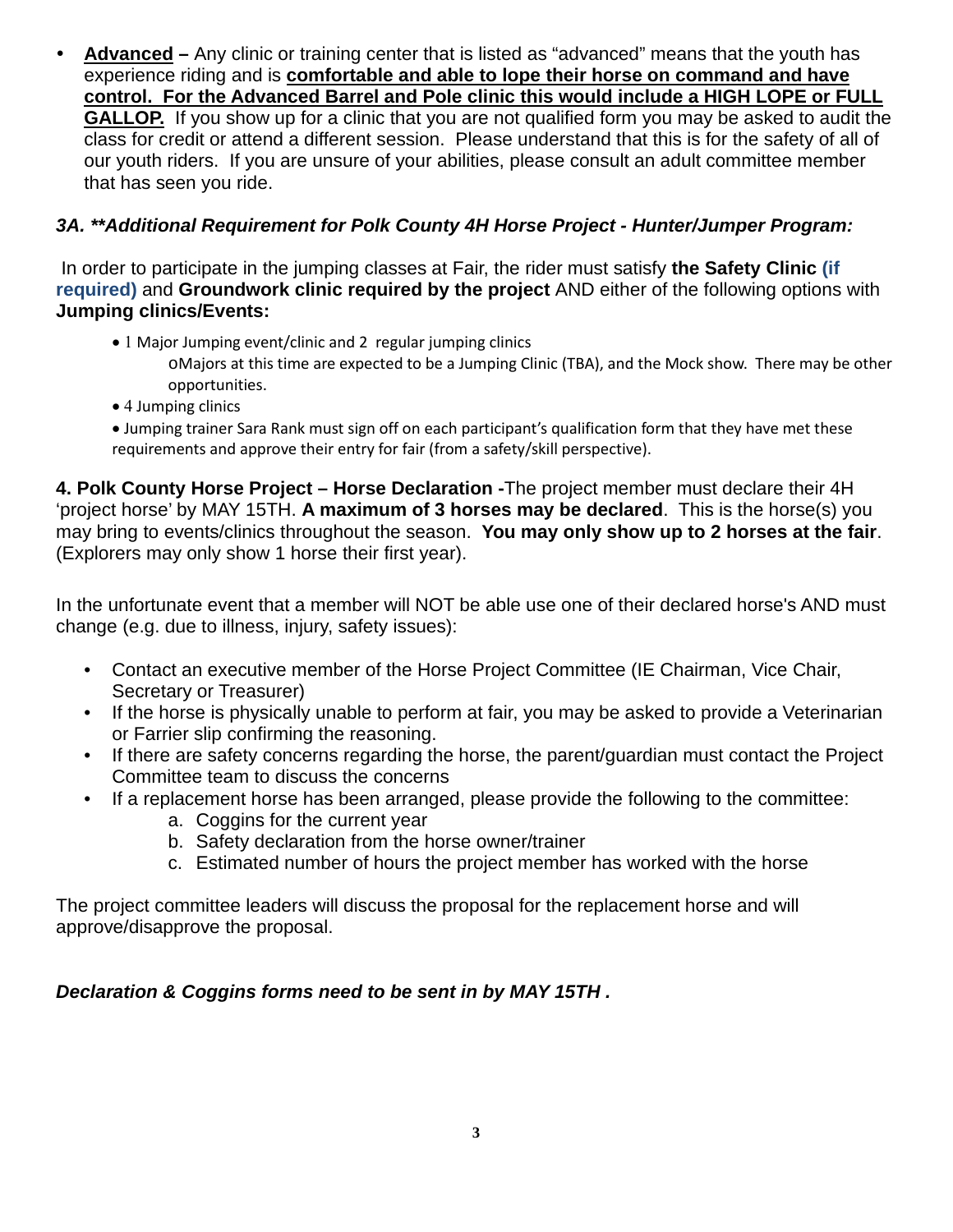**Advanced –** Any clinic or training center that is listed as "advanced" means that the youth has experience riding and is **comfortable and able to lope their horse on command and have control. For the Advanced Barrel and Pole clinic this would include a HIGH LOPE or FULL GALLOP.** If you show up for a clinic that you are not qualified form you may be asked to audit the class for credit or attend a different session. Please understand that this is for the safety of all of our youth riders. If you are unsure of your abilities, please consult an adult committee member that has seen you ride.

#### *3A. \*\*Additional Requirement for Polk County 4H Horse Project - Hunter/Jumper Program:*

In order to participate in the jumping classes at Fair, the rider must satisfy **the Safety Clinic (if required)** and **Groundwork clinic required by the project** AND either of the following options with **Jumping clinics/Events:**

- 1 Major Jumping event/clinic and 2 regular jumping clinics
	- oMajors at this time are expected to be a Jumping Clinic (TBA), and the Mock show. There may be other opportunities.
- 4 Jumping clinics
- Jumping trainer Sara Rank must sign off on each participant's qualification form that they have met these requirements and approve their entry for fair (from a safety/skill perspective).

**4. Polk County Horse Project – Horse Declaration -**The project member must declare their 4H 'project horse' by MAY 15TH. **A maximum of 3 horses may be declared**. This is the horse(s) you may bring to events/clinics throughout the season. **You may only show up to 2 horses at the fair**. (Explorers may only show 1 horse their first year).

In the unfortunate event that a member will NOT be able use one of their declared horse's AND must change (e.g. due to illness, injury, safety issues):

- Contact an executive member of the Horse Project Committee (IE Chairman, Vice Chair, Secretary or Treasurer)
- If the horse is physically unable to perform at fair, you may be asked to provide a Veterinarian or Farrier slip confirming the reasoning.
- If there are safety concerns regarding the horse, the parent/guardian must contact the Project Committee team to discuss the concerns
- If a replacement horse has been arranged, please provide the following to the committee:
	- a. Coggins for the current year
	- b. Safety declaration from the horse owner/trainer
	- c. Estimated number of hours the project member has worked with the horse

The project committee leaders will discuss the proposal for the replacement horse and will approve/disapprove the proposal.

### *Declaration & Coggins forms need to be sent in by MAY 15TH .*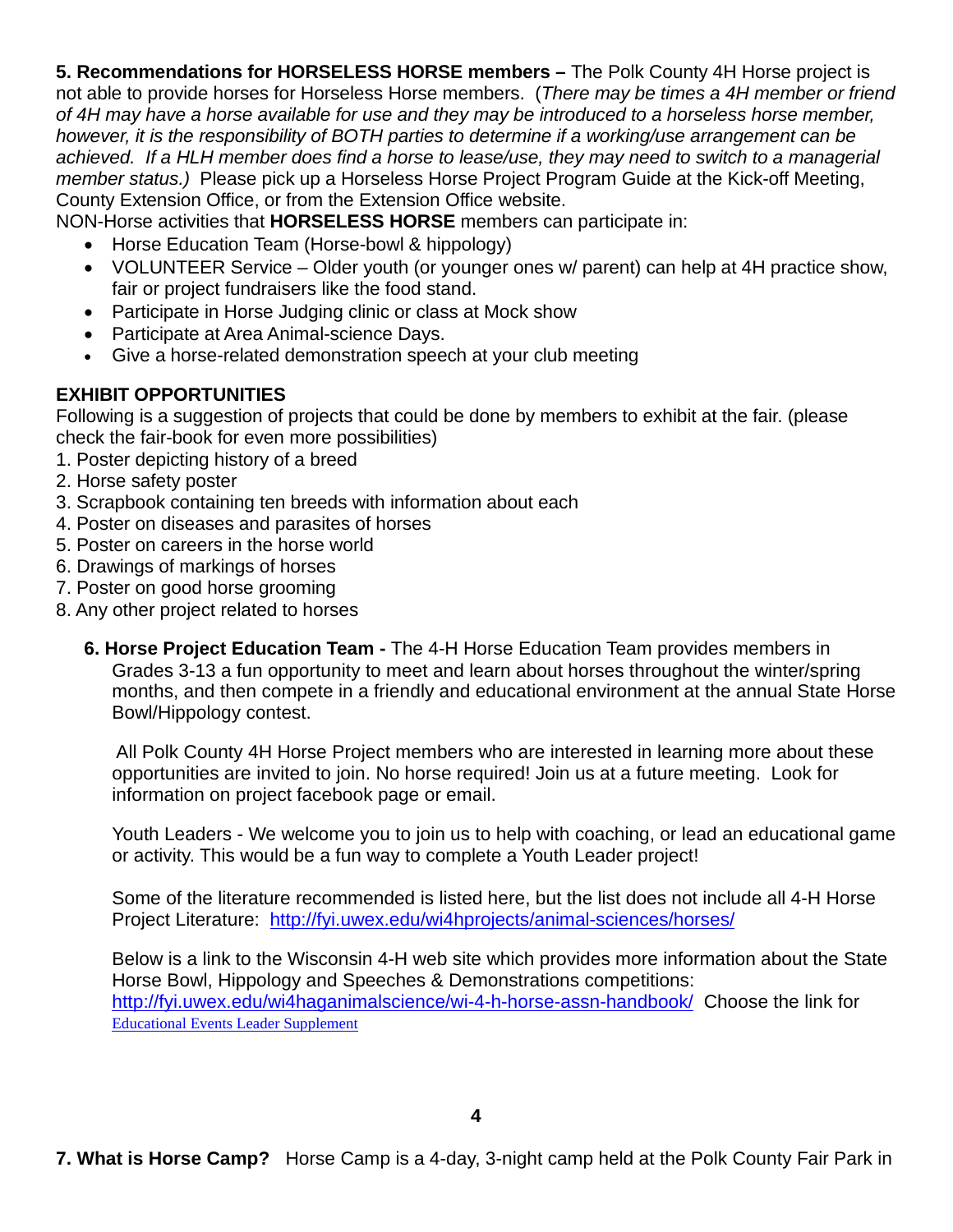**5. Recommendations for HORSELESS HORSE members –** The Polk County 4H Horse project is not able to provide horses for Horseless Horse members. (*There may be times a 4H member or friend of 4H may have a horse available for use and they may be introduced to a horseless horse member, however, it is the responsibility of BOTH parties to determine if a working/use arrangement can be achieved. If a HLH member does find a horse to lease/use, they may need to switch to a managerial member status.)* Please pick up a Horseless Horse Project Program Guide at the Kick-off Meeting, County Extension Office, or from the Extension Office website.

NON-Horse activities that **HORSELESS HORSE** members can participate in:

- Horse Education Team (Horse-bowl & hippology)
- VOLUNTEER Service Older youth (or younger ones w/ parent) can help at 4H practice show, fair or project fundraisers like the food stand.
- Participate in Horse Judging clinic or class at Mock show
- Participate at Area Animal-science Days.
- Give a horse-related demonstration speech at your club meeting

## **EXHIBIT OPPORTUNITIES**

Following is a suggestion of projects that could be done by members to exhibit at the fair. (please check the fair-book for even more possibilities)

- 1. Poster depicting history of a breed
- 2. Horse safety poster
- 3. Scrapbook containing ten breeds with information about each
- 4. Poster on diseases and parasites of horses
- 5. Poster on careers in the horse world
- 6. Drawings of markings of horses
- 7. Poster on good horse grooming
- 8. Any other project related to horses
	- **6. Horse Project Education Team -** The 4-H Horse Education Team provides members in Grades 3-13 a fun opportunity to meet and learn about horses throughout the winter/spring months, and then compete in a friendly and educational environment at the annual State Horse Bowl/Hippology contest.

All Polk County 4H Horse Project members who are interested in learning more about these opportunities are invited to join. No horse required! Join us at a future meeting. Look for information on project facebook page or email.

Youth Leaders - We welcome you to join us to help with coaching, or lead an educational game or activity. This would be a fun way to complete a Youth Leader project!

Some of the literature recommended is listed here, but the list does not include all 4-H Horse Project Literature: <http://fyi.uwex.edu/wi4hprojects/animal-sciences/horses/>

Below is a link to the Wisconsin 4-H web site which provides more information about the State Horse Bowl, Hippology and Speeches & Demonstrations competitions: <http://fyi.uwex.edu/wi4haganimalscience/wi-4-h-horse-assn-handbook/>Choose the link for [Educational Events Leader Supplement](http://fyi.uwex.edu/wi4haganimalscience/files/2014/06/Educational-Events-Leader-Supplement2.pdf)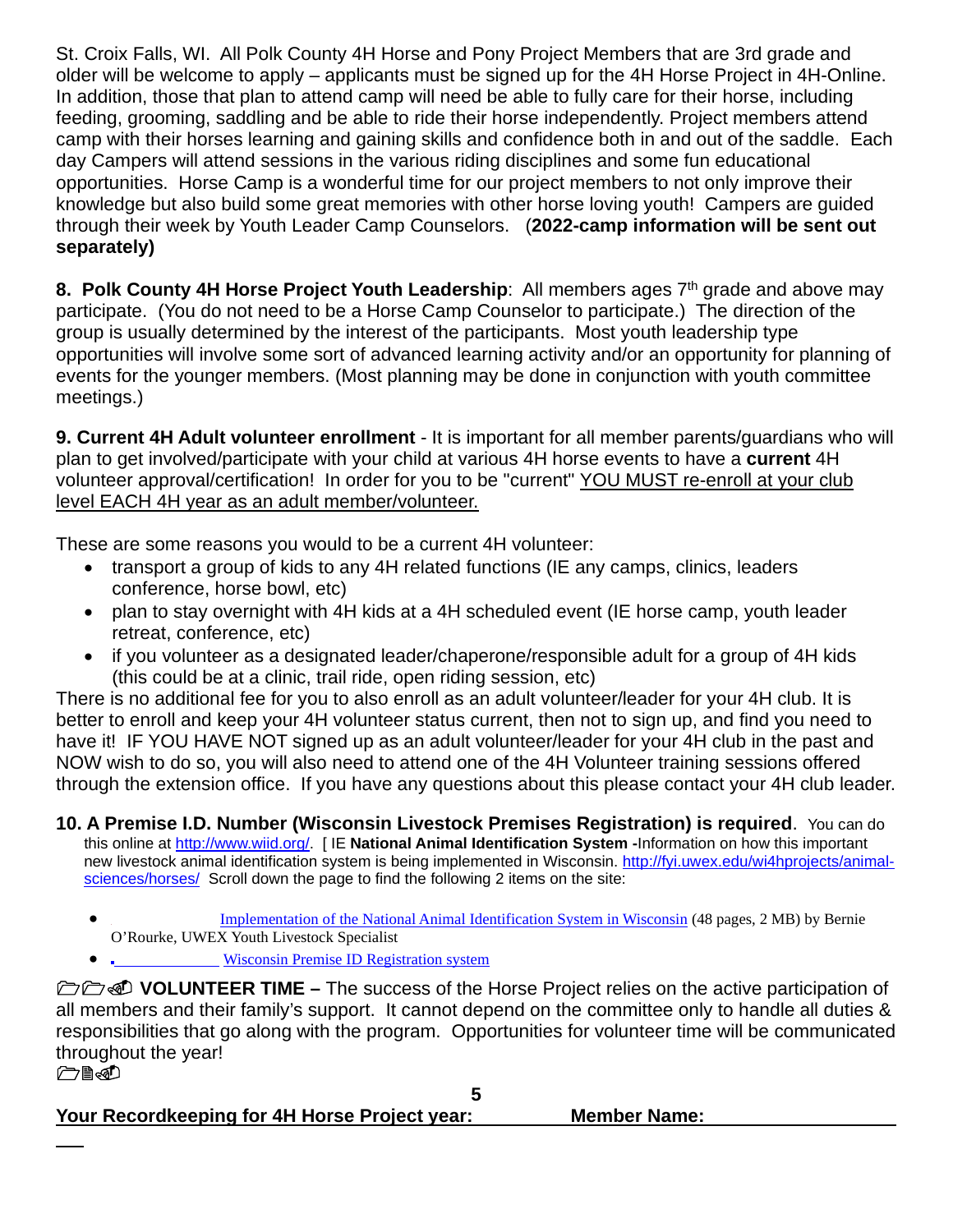St. Croix Falls, WI. All Polk County 4H Horse and Pony Project Members that are 3rd grade and older will be welcome to apply – applicants must be signed up for the 4H Horse Project in 4H-Online. In addition, those that plan to attend camp will need be able to fully care for their horse, including feeding, grooming, saddling and be able to ride their horse independently. Project members attend camp with their horses learning and gaining skills and confidence both in and out of the saddle. Each day Campers will attend sessions in the various riding disciplines and some fun educational opportunities. Horse Camp is a wonderful time for our project members to not only improve their knowledge but also build some great memories with other horse loving youth! Campers are guided through their week by Youth Leader Camp Counselors. (**2022-camp information will be sent out separately)**

**8. Polk County 4H Horse Project Youth Leadership:** All members ages 7<sup>th</sup> grade and above may participate. (You do not need to be a Horse Camp Counselor to participate.) The direction of the group is usually determined by the interest of the participants. Most youth leadership type opportunities will involve some sort of advanced learning activity and/or an opportunity for planning of events for the younger members. (Most planning may be done in conjunction with youth committee meetings.)

**9. Current 4H Adult volunteer enrollment** - It is important for all member parents/guardians who will plan to get involved/participate with your child at various 4H horse events to have a **current** 4H volunteer approval/certification! In order for you to be "current" YOU MUST re-enroll at your club level EACH 4H year as an adult member/volunteer.

These are some reasons you would to be a current 4H volunteer:

- transport a group of kids to any 4H related functions (IE any camps, clinics, leaders conference, horse bowl, etc)
- plan to stay overnight with 4H kids at a 4H scheduled event (IE horse camp, youth leader retreat, conference, etc)
- if you volunteer as a designated leader/chaperone/responsible adult for a group of 4H kids (this could be at a clinic, trail ride, open riding session, etc)

There is no additional fee for you to also enroll as an adult volunteer/leader for your 4H club. It is better to enroll and keep your 4H volunteer status current, then not to sign up, and find you need to have it! IF YOU HAVE NOT signed up as an adult volunteer/leader for your 4H club in the past and NOW wish to do so, you will also need to attend one of the 4H Volunteer training sessions offered through the extension office. If you have any questions about this please contact your 4H club leader.

**10. A Premise I.D. Number (Wisconsin Livestock Premises Registration) is required**. You can do this online at [http://www.wiid.org/.](http://www.wiid.org/) [ IE **National Animal Identification System -**Information on how this important new livestock animal identification system is being implemented in Wisconsin. [http://fyi.uwex.edu/wi4hprojects/animal](http://fyi.uwex.edu/wi4hprojects/animal-sciences/horses/)[sciences/horses/](http://fyi.uwex.edu/wi4hprojects/animal-sciences/horses/) Scroll down the page to find the following 2 items on the site:

- [Implementation of the National Animal Identification System in Wisconsin](http://fyi.uwex.edu/wi4hprojects/files/2015/02/4Hagentspremiseid.pdf) (48 pages, 2 MB) by Bernie O'Rourke, UWEX Youth Livestock Specialist
- •[Wisconsin Premise ID Registration system](http://www.wiid.org/livestock-premises-registration)

**DO D** VOLUNTEER TIME – The success of the Horse Project relies on the active participation of all members and their family's support. It cannot depend on the committee only to handle all duties & responsibilities that go along with the program. Opportunities for volunteer time will be communicated throughout the year!

**CES** 

**5 Your Recordkeeping for 4H Horse Project year: Member Name:**